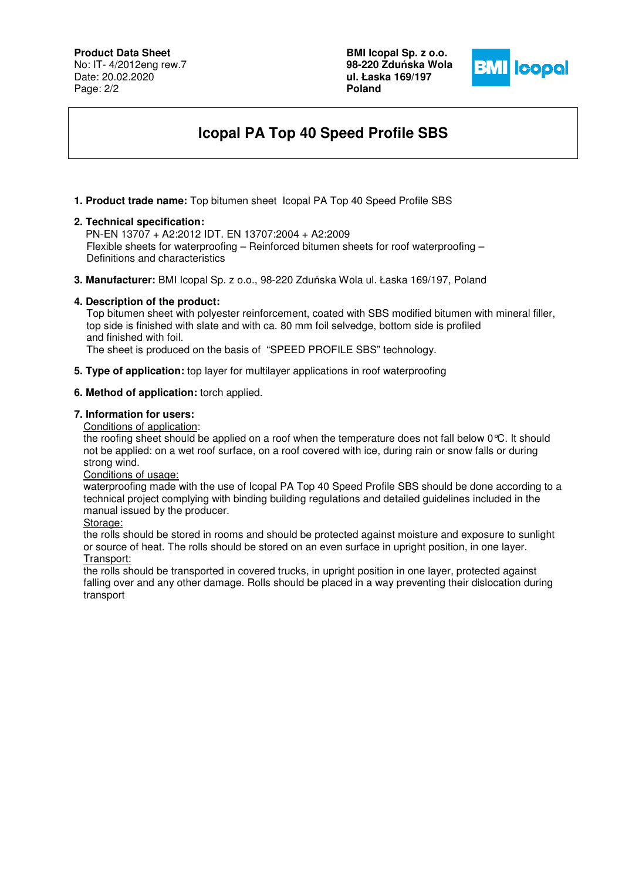# **Product Data Sheet**

No: IT- 4/2012eng rew.7 Date: 20.02.2020 Page: 2/2

**BMI Icopal Sp. z o.o. 98-220 Zdu**ń**ska Wola ul. Łaska 169/197 Poland** 



# **Icopal PA Top 40 Speed Profile SBS**

**1. Product trade name:** Top bitumen sheet Icopal PA Top 40 Speed Profile SBS

#### **2. Technical specification:**

 PN-EN 13707 + A2:2012 IDT. EN 13707:2004 + A2:2009 Flexible sheets for waterproofing – Reinforced bitumen sheets for roof waterproofing – Definitions and characteristics

**3. Manufacturer:** BMI Icopal Sp. z o.o., 98-220 Zduńska Wola ul. Łaska 169/197, Poland

### **4. Description of the product:**

 Top bitumen sheet with polyester reinforcement, coated with SBS modified bitumen with mineral filler, top side is finished with slate and with ca. 80 mm foil selvedge, bottom side is profiled and finished with foil.

The sheet is produced on the basis of "SPEED PROFILE SBS" technology.

**5. Type of application:** top layer for multilayer applications in roof waterproofing

### **6. Method of application:** torch applied.

#### **7. Information for users:**

Conditions of application:

the roofing sheet should be applied on a roof when the temperature does not fall below 0°C. It should not be applied: on a wet roof surface, on a roof covered with ice, during rain or snow falls or during strong wind.

Conditions of usage:

waterproofing made with the use of Icopal PA Top 40 Speed Profile SBS should be done according to a technical project complying with binding building regulations and detailed guidelines included in the manual issued by the producer.

Storage:

the rolls should be stored in rooms and should be protected against moisture and exposure to sunlight or source of heat. The rolls should be stored on an even surface in upright position, in one layer. Transport:

the rolls should be transported in covered trucks, in upright position in one layer, protected against falling over and any other damage. Rolls should be placed in a way preventing their dislocation during transport